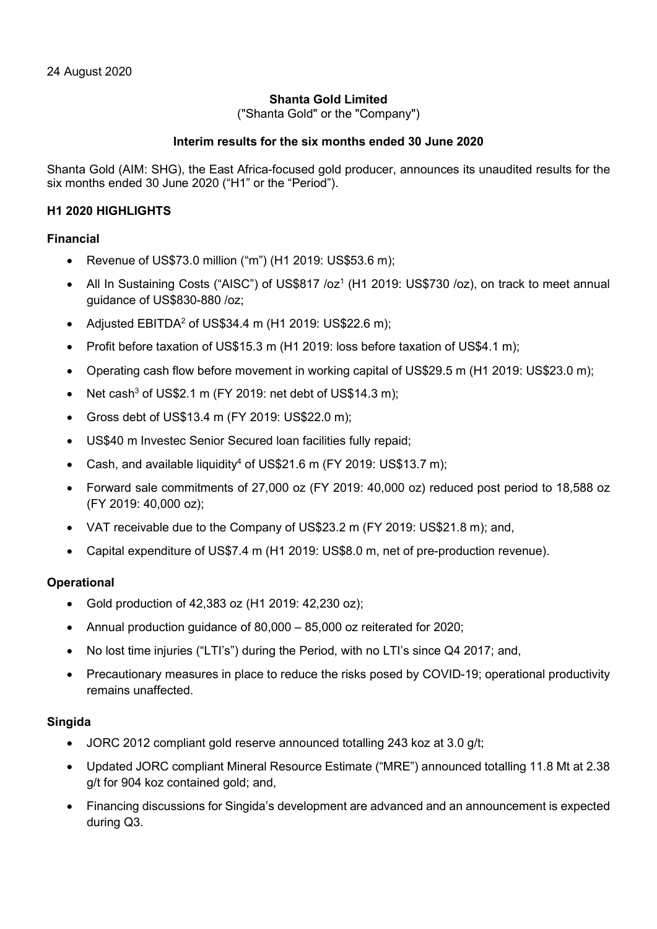### Shanta Gold Limited

("Shanta Gold" or the "Company")

### Interim results for the six months ended 30 June 2020

Shanta Gold (AIM: SHG), the East Africa-focused gold producer, announces its unaudited results for the six months ended 30 June 2020 ("H1" or the "Period").

### H1 2020 HIGHLIGHTS

### Financial

- Revenue of US\$73.0 million ("m") (H1 2019: US\$53.6 m);
- All In Sustaining Costs ("AISC") of US\$817 /oz<sup>1</sup> (H1 2019: US\$730 /oz), on track to meet annual guidance of US\$830-880 /oz;
- Adjusted EBITDA<sup>2</sup> of US\$34.4 m (H1 2019: US\$22.6 m);
- Profit before taxation of US\$15.3 m (H1 2019: loss before taxation of US\$4.1 m);
- Operating cash flow before movement in working capital of US\$29.5 m (H1 2019: US\$23.0 m);
- Net cash<sup>3</sup> of US\$2.1 m (FY 2019: net debt of US\$14.3 m);
- Gross debt of US\$13.4 m (FY 2019: US\$22.0 m);
- US\$40 m Investec Senior Secured loan facilities fully repaid;
- Cash, and available liquidity<sup>4</sup> of US\$21.6 m (FY 2019: US\$13.7 m);
- Forward sale commitments of 27,000 oz (FY 2019: 40,000 oz) reduced post period to 18,588 oz (FY 2019: 40,000 oz);
- VAT receivable due to the Company of US\$23.2 m (FY 2019: US\$21.8 m); and,
- Capital expenditure of US\$7.4 m (H1 2019: US\$8.0 m, net of pre-production revenue).

### **Operational**

- Gold production of 42,383 oz (H1 2019: 42,230 oz);
- Annual production guidance of 80,000 85,000 oz reiterated for 2020;
- No lost time injuries ("LTI's") during the Period, with no LTI's since Q4 2017; and,
- Precautionary measures in place to reduce the risks posed by COVID-19; operational productivity remains unaffected.

### Singida

- JORC 2012 compliant gold reserve announced totalling 243 koz at 3.0 g/t;
- Updated JORC compliant Mineral Resource Estimate ("MRE") announced totalling 11.8 Mt at 2.38 g/t for 904 koz contained gold; and,
- Financing discussions for Singida's development are advanced and an announcement is expected during Q3.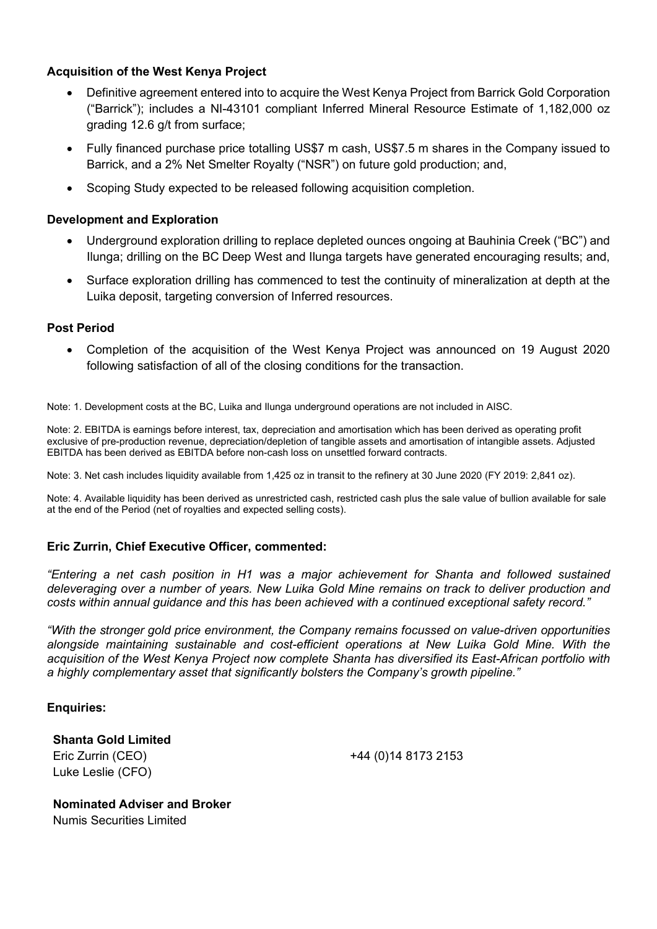# Acquisition of the West Kenya Project

- Definitive agreement entered into to acquire the West Kenya Project from Barrick Gold Corporation ("Barrick"); includes a NI-43101 compliant Inferred Mineral Resource Estimate of 1,182,000 oz grading 12.6 g/t from surface;
- Fully financed purchase price totalling US\$7 m cash, US\$7.5 m shares in the Company issued to Barrick, and a 2% Net Smelter Royalty ("NSR") on future gold production; and,
- Scoping Study expected to be released following acquisition completion.

### Development and Exploration

- Underground exploration drilling to replace depleted ounces ongoing at Bauhinia Creek ("BC") and Ilunga; drilling on the BC Deep West and Ilunga targets have generated encouraging results; and,
- Surface exploration drilling has commenced to test the continuity of mineralization at depth at the Luika deposit, targeting conversion of Inferred resources.

### Post Period

 Completion of the acquisition of the West Kenya Project was announced on 19 August 2020 following satisfaction of all of the closing conditions for the transaction.

Note: 1. Development costs at the BC, Luika and Ilunga underground operations are not included in AISC.

Note: 2. EBITDA is earnings before interest, tax, depreciation and amortisation which has been derived as operating profit exclusive of pre-production revenue, depreciation/depletion of tangible assets and amortisation of intangible assets. Adjusted EBITDA has been derived as EBITDA before non-cash loss on unsettled forward contracts.

Note: 3. Net cash includes liquidity available from 1,425 oz in transit to the refinery at 30 June 2020 (FY 2019: 2,841 oz).

Note: 4. Available liquidity has been derived as unrestricted cash, restricted cash plus the sale value of bullion available for sale at the end of the Period (net of royalties and expected selling costs).

### Eric Zurrin, Chief Executive Officer, commented:

"Entering a net cash position in H1 was a major achievement for Shanta and followed sustained deleveraging over a number of years. New Luika Gold Mine remains on track to deliver production and costs within annual guidance and this has been achieved with a continued exceptional safety record."

"With the stronger gold price environment, the Company remains focussed on value-driven opportunities alongside maintaining sustainable and cost-efficient operations at New Luika Gold Mine. With the acquisition of the West Kenya Project now complete Shanta has diversified its East-African portfolio with a highly complementary asset that significantly bolsters the Company's growth pipeline."

### Enquiries:

Shanta Gold Limited Eric Zurrin (CEO) +44 (0)14 8173 2153 Luke Leslie (CFO)

Nominated Adviser and Broker Numis Securities Limited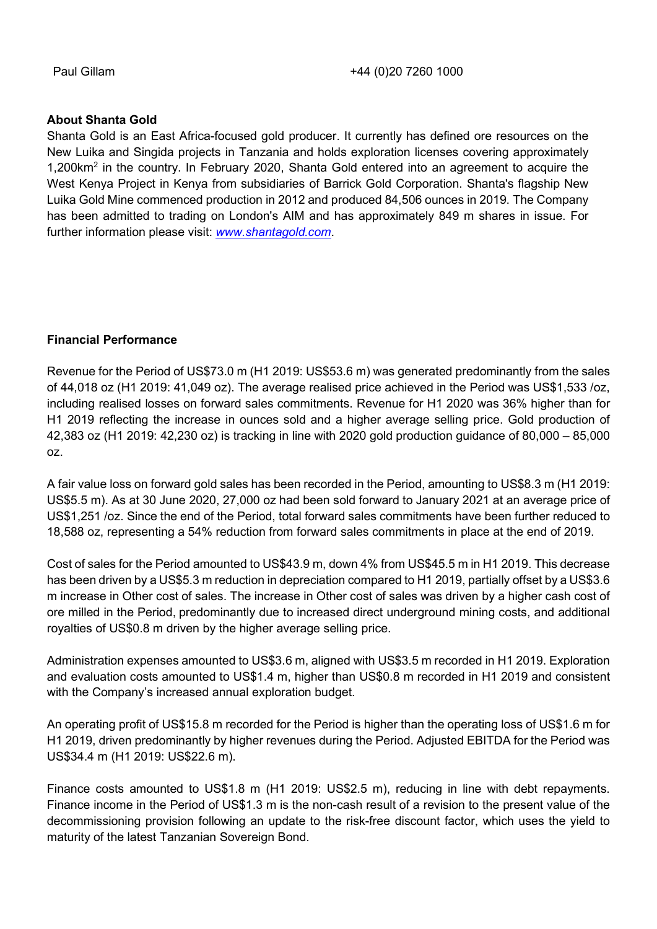### About Shanta Gold

Shanta Gold is an East Africa-focused gold producer. It currently has defined ore resources on the New Luika and Singida projects in Tanzania and holds exploration licenses covering approximately 1,200km<sup>2</sup> in the country. In February 2020, Shanta Gold entered into an agreement to acquire the West Kenya Project in Kenya from subsidiaries of Barrick Gold Corporation. Shanta's flagship New Luika Gold Mine commenced production in 2012 and produced 84,506 ounces in 2019. The Company has been admitted to trading on London's AIM and has approximately 849 m shares in issue. For further information please visit: www.shantagold.com.

### Financial Performance

Revenue for the Period of US\$73.0 m (H1 2019: US\$53.6 m) was generated predominantly from the sales of 44,018 oz (H1 2019: 41,049 oz). The average realised price achieved in the Period was US\$1,533 /oz, including realised losses on forward sales commitments. Revenue for H1 2020 was 36% higher than for H1 2019 reflecting the increase in ounces sold and a higher average selling price. Gold production of 42,383 oz (H1 2019: 42,230 oz) is tracking in line with 2020 gold production guidance of 80,000 – 85,000 oz.

A fair value loss on forward gold sales has been recorded in the Period, amounting to US\$8.3 m (H1 2019: US\$5.5 m). As at 30 June 2020, 27,000 oz had been sold forward to January 2021 at an average price of US\$1,251 /oz. Since the end of the Period, total forward sales commitments have been further reduced to 18,588 oz, representing a 54% reduction from forward sales commitments in place at the end of 2019.

Cost of sales for the Period amounted to US\$43.9 m, down 4% from US\$45.5 m in H1 2019. This decrease has been driven by a US\$5.3 m reduction in depreciation compared to H1 2019, partially offset by a US\$3.6 m increase in Other cost of sales. The increase in Other cost of sales was driven by a higher cash cost of ore milled in the Period, predominantly due to increased direct underground mining costs, and additional royalties of US\$0.8 m driven by the higher average selling price.

Administration expenses amounted to US\$3.6 m, aligned with US\$3.5 m recorded in H1 2019. Exploration and evaluation costs amounted to US\$1.4 m, higher than US\$0.8 m recorded in H1 2019 and consistent with the Company's increased annual exploration budget.

An operating profit of US\$15.8 m recorded for the Period is higher than the operating loss of US\$1.6 m for H1 2019, driven predominantly by higher revenues during the Period. Adjusted EBITDA for the Period was US\$34.4 m (H1 2019: US\$22.6 m).

Finance costs amounted to US\$1.8 m (H1 2019: US\$2.5 m), reducing in line with debt repayments. Finance income in the Period of US\$1.3 m is the non-cash result of a revision to the present value of the decommissioning provision following an update to the risk-free discount factor, which uses the yield to maturity of the latest Tanzanian Sovereign Bond.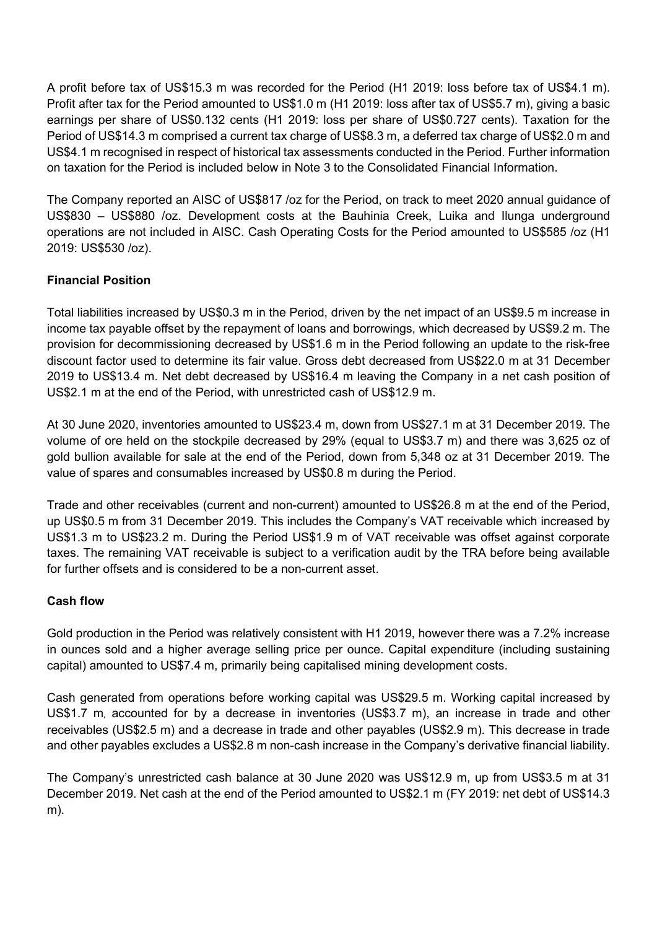A profit before tax of US\$15.3 m was recorded for the Period (H1 2019: loss before tax of US\$4.1 m). Profit after tax for the Period amounted to US\$1.0 m (H1 2019: loss after tax of US\$5.7 m), giving a basic earnings per share of US\$0.132 cents (H1 2019: loss per share of US\$0.727 cents). Taxation for the Period of US\$14.3 m comprised a current tax charge of US\$8.3 m, a deferred tax charge of US\$2.0 m and US\$4.1 m recognised in respect of historical tax assessments conducted in the Period. Further information on taxation for the Period is included below in Note 3 to the Consolidated Financial Information.

The Company reported an AISC of US\$817 /oz for the Period, on track to meet 2020 annual guidance of US\$830 – US\$880 /oz. Development costs at the Bauhinia Creek, Luika and Ilunga underground operations are not included in AISC. Cash Operating Costs for the Period amounted to US\$585 /oz (H1 2019: US\$530 /oz).

# Financial Position

Total liabilities increased by US\$0.3 m in the Period, driven by the net impact of an US\$9.5 m increase in income tax payable offset by the repayment of loans and borrowings, which decreased by US\$9.2 m. The provision for decommissioning decreased by US\$1.6 m in the Period following an update to the risk-free discount factor used to determine its fair value. Gross debt decreased from US\$22.0 m at 31 December 2019 to US\$13.4 m. Net debt decreased by US\$16.4 m leaving the Company in a net cash position of US\$2.1 m at the end of the Period, with unrestricted cash of US\$12.9 m.

At 30 June 2020, inventories amounted to US\$23.4 m, down from US\$27.1 m at 31 December 2019. The volume of ore held on the stockpile decreased by 29% (equal to US\$3.7 m) and there was 3,625 oz of gold bullion available for sale at the end of the Period, down from 5,348 oz at 31 December 2019. The value of spares and consumables increased by US\$0.8 m during the Period.

Trade and other receivables (current and non-current) amounted to US\$26.8 m at the end of the Period, up US\$0.5 m from 31 December 2019. This includes the Company's VAT receivable which increased by US\$1.3 m to US\$23.2 m. During the Period US\$1.9 m of VAT receivable was offset against corporate taxes. The remaining VAT receivable is subject to a verification audit by the TRA before being available for further offsets and is considered to be a non-current asset.

# Cash flow

Gold production in the Period was relatively consistent with H1 2019, however there was a 7.2% increase in ounces sold and a higher average selling price per ounce. Capital expenditure (including sustaining capital) amounted to US\$7.4 m, primarily being capitalised mining development costs.

Cash generated from operations before working capital was US\$29.5 m. Working capital increased by US\$1.7 m, accounted for by a decrease in inventories (US\$3.7 m), an increase in trade and other receivables (US\$2.5 m) and a decrease in trade and other payables (US\$2.9 m). This decrease in trade and other payables excludes a US\$2.8 m non-cash increase in the Company's derivative financial liability.

The Company's unrestricted cash balance at 30 June 2020 was US\$12.9 m, up from US\$3.5 m at 31 December 2019. Net cash at the end of the Period amounted to US\$2.1 m (FY 2019: net debt of US\$14.3 m).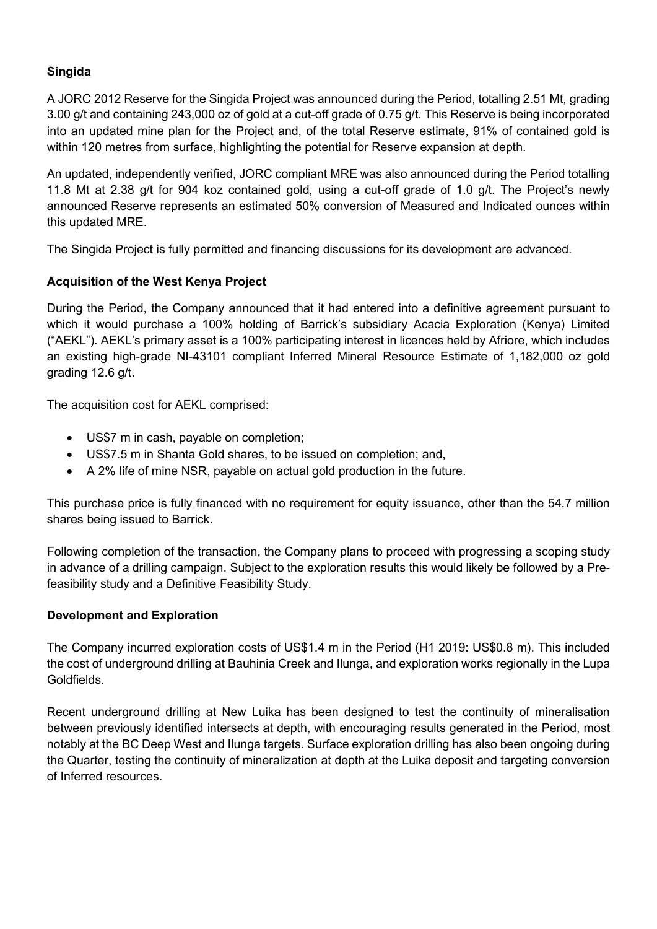# Singida

A JORC 2012 Reserve for the Singida Project was announced during the Period, totalling 2.51 Mt, grading 3.00 g/t and containing 243,000 oz of gold at a cut-off grade of 0.75 g/t. This Reserve is being incorporated into an updated mine plan for the Project and, of the total Reserve estimate, 91% of contained gold is within 120 metres from surface, highlighting the potential for Reserve expansion at depth.

An updated, independently verified, JORC compliant MRE was also announced during the Period totalling 11.8 Mt at 2.38 g/t for 904 koz contained gold, using a cut-off grade of 1.0 g/t. The Project's newly announced Reserve represents an estimated 50% conversion of Measured and Indicated ounces within this updated MRE.

The Singida Project is fully permitted and financing discussions for its development are advanced.

# Acquisition of the West Kenya Project

During the Period, the Company announced that it had entered into a definitive agreement pursuant to which it would purchase a 100% holding of Barrick's subsidiary Acacia Exploration (Kenya) Limited ("AEKL"). AEKL's primary asset is a 100% participating interest in licences held by Afriore, which includes an existing high-grade NI-43101 compliant Inferred Mineral Resource Estimate of 1,182,000 oz gold grading 12.6 g/t.

The acquisition cost for AEKL comprised:

- US\$7 m in cash, payable on completion;
- US\$7.5 m in Shanta Gold shares, to be issued on completion; and,
- A 2% life of mine NSR, payable on actual gold production in the future.

This purchase price is fully financed with no requirement for equity issuance, other than the 54.7 million shares being issued to Barrick.

Following completion of the transaction, the Company plans to proceed with progressing a scoping study in advance of a drilling campaign. Subject to the exploration results this would likely be followed by a Prefeasibility study and a Definitive Feasibility Study.

### Development and Exploration

The Company incurred exploration costs of US\$1.4 m in the Period (H1 2019: US\$0.8 m). This included the cost of underground drilling at Bauhinia Creek and Ilunga, and exploration works regionally in the Lupa Goldfields.

Recent underground drilling at New Luika has been designed to test the continuity of mineralisation between previously identified intersects at depth, with encouraging results generated in the Period, most notably at the BC Deep West and Ilunga targets. Surface exploration drilling has also been ongoing during the Quarter, testing the continuity of mineralization at depth at the Luika deposit and targeting conversion of Inferred resources.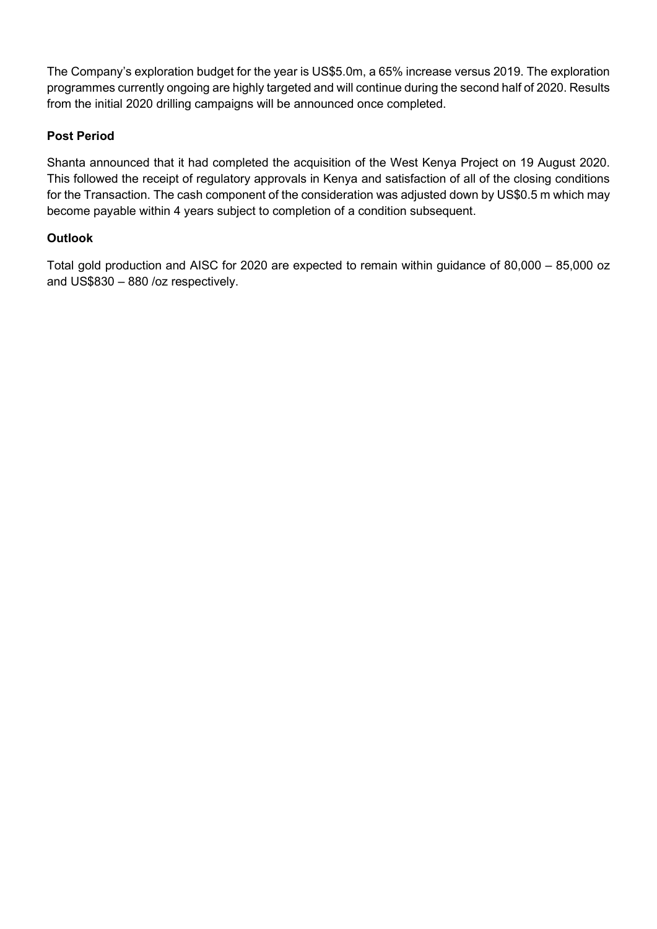The Company's exploration budget for the year is US\$5.0m, a 65% increase versus 2019. The exploration programmes currently ongoing are highly targeted and will continue during the second half of 2020. Results from the initial 2020 drilling campaigns will be announced once completed.

# Post Period

Shanta announced that it had completed the acquisition of the West Kenya Project on 19 August 2020. This followed the receipt of regulatory approvals in Kenya and satisfaction of all of the closing conditions for the Transaction. The cash component of the consideration was adjusted down by US\$0.5 m which may become payable within 4 years subject to completion of a condition subsequent.

# **Outlook**

Total gold production and AISC for 2020 are expected to remain within guidance of 80,000 – 85,000 oz and US\$830 – 880 /oz respectively.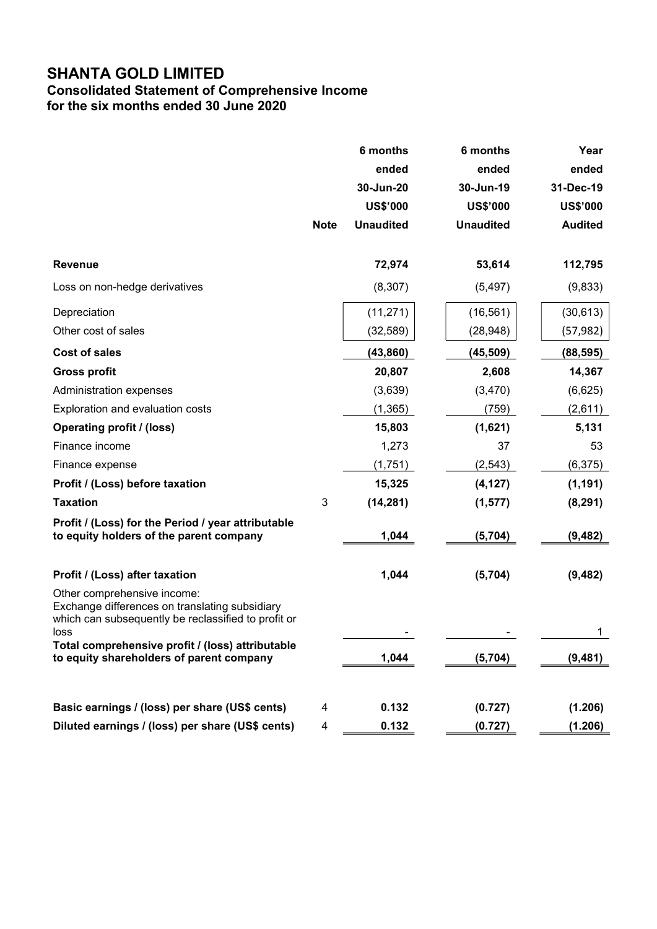# SHANTA GOLD LIMITED

# Consolidated Statement of Comprehensive Income for the six months ended 30 June 2020

|                                                                                                                                                                                                                                              | <b>Note</b> | 6 months<br>ended<br>30-Jun-20<br><b>US\$'000</b><br><b>Unaudited</b> | 6 months<br>ended<br>30-Jun-19<br><b>US\$'000</b><br><b>Unaudited</b> | Year<br>ended<br>31-Dec-19<br><b>US\$'000</b><br><b>Audited</b> |
|----------------------------------------------------------------------------------------------------------------------------------------------------------------------------------------------------------------------------------------------|-------------|-----------------------------------------------------------------------|-----------------------------------------------------------------------|-----------------------------------------------------------------|
| <b>Revenue</b>                                                                                                                                                                                                                               |             | 72,974                                                                | 53,614                                                                | 112,795                                                         |
| Loss on non-hedge derivatives                                                                                                                                                                                                                |             | (8, 307)                                                              | (5, 497)                                                              | (9,833)                                                         |
| Depreciation<br>Other cost of sales                                                                                                                                                                                                          |             | (11, 271)                                                             | (16, 561)                                                             | (30, 613)                                                       |
|                                                                                                                                                                                                                                              |             | (32, 589)                                                             | (28, 948)                                                             | (57, 982)                                                       |
| <b>Cost of sales</b>                                                                                                                                                                                                                         |             | (43, 860)                                                             | (45, 509)                                                             | (88, 595)                                                       |
| <b>Gross profit</b>                                                                                                                                                                                                                          |             | 20,807                                                                | 2,608                                                                 | 14,367                                                          |
| Administration expenses                                                                                                                                                                                                                      |             | (3,639)                                                               | (3,470)                                                               | (6,625)                                                         |
| Exploration and evaluation costs                                                                                                                                                                                                             |             | (1, 365)                                                              | (759)                                                                 | (2,611)                                                         |
| <b>Operating profit / (loss)</b>                                                                                                                                                                                                             |             | 15,803                                                                | (1,621)                                                               | 5,131                                                           |
| Finance income                                                                                                                                                                                                                               |             | 1,273                                                                 | 37                                                                    | 53                                                              |
| Finance expense                                                                                                                                                                                                                              |             | (1,751)                                                               | (2, 543)                                                              | (6, 375)                                                        |
| Profit / (Loss) before taxation                                                                                                                                                                                                              |             | 15,325                                                                | (4, 127)                                                              | (1, 191)                                                        |
| <b>Taxation</b>                                                                                                                                                                                                                              | 3           | (14, 281)                                                             | (1, 577)                                                              | (8, 291)                                                        |
| Profit / (Loss) for the Period / year attributable<br>to equity holders of the parent company                                                                                                                                                |             | 1,044                                                                 | (5, 704)                                                              | (9, 482)                                                        |
| Profit / (Loss) after taxation                                                                                                                                                                                                               |             | 1,044                                                                 | (5,704)                                                               | (9, 482)                                                        |
| Other comprehensive income:<br>Exchange differences on translating subsidiary<br>which can subsequently be reclassified to profit or<br>loss<br>Total comprehensive profit / (loss) attributable<br>to equity shareholders of parent company |             | 1,044                                                                 | (5,704)                                                               | 1<br>(9, 481)                                                   |
| Basic earnings / (loss) per share (US\$ cents)                                                                                                                                                                                               | 4           | 0.132                                                                 | (0.727)                                                               | (1.206)                                                         |
| Diluted earnings / (loss) per share (US\$ cents)                                                                                                                                                                                             | 4           | 0.132                                                                 | (0.727)                                                               | (1.206)                                                         |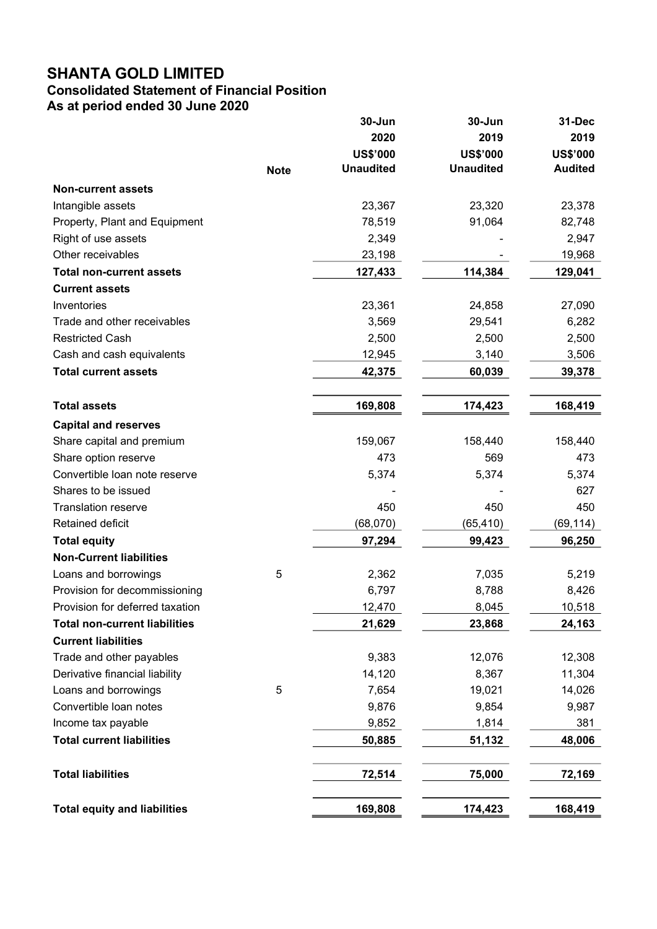# SHANTA GOLD LIMITED

# Consolidated Statement of Financial Position

As at period ended 30 June 2020

|                                      |             | 30-Jun           | 30-Jun           | 31-Dec          |
|--------------------------------------|-------------|------------------|------------------|-----------------|
|                                      |             | 2020             | 2019             | 2019            |
|                                      |             | <b>US\$'000</b>  | <b>US\$'000</b>  | <b>US\$'000</b> |
|                                      | <b>Note</b> | <b>Unaudited</b> | <b>Unaudited</b> | <b>Audited</b>  |
| <b>Non-current assets</b>            |             |                  |                  |                 |
| Intangible assets                    |             | 23,367           | 23,320           | 23,378          |
| Property, Plant and Equipment        |             | 78,519           | 91,064           | 82,748          |
| Right of use assets                  |             | 2,349            |                  | 2,947           |
| Other receivables                    |             | 23,198           |                  | 19,968          |
| <b>Total non-current assets</b>      |             | 127,433          | 114,384          | 129,041         |
| <b>Current assets</b>                |             |                  |                  |                 |
| Inventories                          |             | 23,361           | 24,858           | 27,090          |
| Trade and other receivables          |             | 3,569            | 29,541           | 6,282           |
| <b>Restricted Cash</b>               |             | 2,500            | 2,500            | 2,500           |
| Cash and cash equivalents            |             | 12,945           | 3,140            | 3,506           |
| <b>Total current assets</b>          |             | 42,375           | 60,039           | 39,378          |
|                                      |             |                  |                  |                 |
| <b>Total assets</b>                  |             | 169,808          | 174,423          | 168,419         |
| <b>Capital and reserves</b>          |             |                  |                  |                 |
| Share capital and premium            |             | 159,067          | 158,440          | 158,440         |
| Share option reserve                 |             | 473              | 569              | 473             |
| Convertible loan note reserve        |             | 5,374            | 5,374            | 5,374           |
| Shares to be issued                  |             |                  |                  | 627             |
| <b>Translation reserve</b>           |             | 450              | 450              | 450             |
| Retained deficit                     |             | (68,070)         | (65,410)         | (69,114)        |
| <b>Total equity</b>                  |             | 97,294           | 99,423           | 96,250          |
| <b>Non-Current liabilities</b>       |             |                  |                  |                 |
| Loans and borrowings                 | 5           | 2,362            | 7,035            | 5,219           |
| Provision for decommissioning        |             | 6,797            | 8,788            | 8,426           |
| Provision for deferred taxation      |             | 12,470           | 8,045            | 10,518          |
| <b>Total non-current liabilities</b> |             | 21,629           | 23,868           | 24,163          |
| <b>Current liabilities</b>           |             |                  |                  |                 |
| Trade and other payables             |             | 9,383            | 12,076           | 12,308          |
| Derivative financial liability       |             | 14,120           | 8,367            | 11,304          |
| Loans and borrowings                 | 5           | 7,654            | 19,021           | 14,026          |
| Convertible loan notes               |             | 9,876            | 9,854            | 9,987           |
| Income tax payable                   |             | 9,852            | 1,814            | 381             |
| <b>Total current liabilities</b>     |             | 50,885           | 51,132           | 48,006          |
| <b>Total liabilities</b>             |             | 72,514           | 75,000           | 72,169          |
| <b>Total equity and liabilities</b>  |             | 169,808          | 174,423          | 168,419         |
|                                      |             |                  |                  |                 |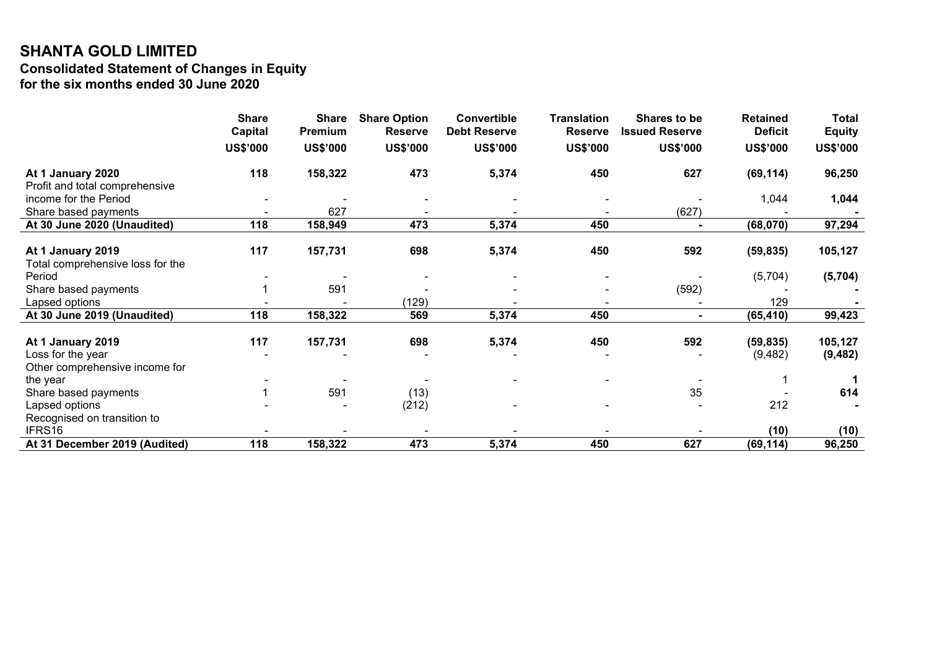# SHANTA GOLD LIMITED Consolidated Statement of Changes in Equity for the six months ended 30 June 2020

|                                                     | <b>Share</b><br><b>Capital</b> | <b>Share</b><br>Premium | <b>Share Option</b><br><b>Reserve</b> | Convertible<br><b>Debt Reserve</b> | <b>Translation</b><br><b>Reserve</b> | Shares to be<br><b>Issued Reserve</b> | <b>Retained</b><br><b>Deficit</b> | <b>Total</b><br><b>Equity</b> |
|-----------------------------------------------------|--------------------------------|-------------------------|---------------------------------------|------------------------------------|--------------------------------------|---------------------------------------|-----------------------------------|-------------------------------|
|                                                     | <b>US\$'000</b>                | <b>US\$'000</b>         | <b>US\$'000</b>                       | <b>US\$'000</b>                    | <b>US\$'000</b>                      | <b>US\$'000</b>                       | <b>US\$'000</b>                   | <b>US\$'000</b>               |
|                                                     |                                |                         |                                       |                                    |                                      |                                       |                                   |                               |
| At 1 January 2020<br>Profit and total comprehensive | 118                            | 158,322                 | 473                                   | 5,374                              | 450                                  | 627                                   | (69, 114)                         | 96,250                        |
| income for the Period                               |                                |                         |                                       |                                    |                                      |                                       | 1,044                             | 1,044                         |
| Share based payments                                |                                | 627                     |                                       |                                    |                                      | (627)                                 |                                   |                               |
| At 30 June 2020 (Unaudited)                         | 118                            | 158,949                 | 473                                   | 5,374                              | 450                                  |                                       | (68,070)                          | 97,294                        |
|                                                     |                                |                         |                                       |                                    |                                      |                                       |                                   |                               |
| At 1 January 2019                                   | 117                            | 157,731                 | 698                                   | 5,374                              | 450                                  | 592                                   | (59, 835)                         | 105,127                       |
| Total comprehensive loss for the                    |                                |                         |                                       |                                    |                                      |                                       |                                   |                               |
| Period                                              |                                |                         |                                       |                                    |                                      |                                       | (5,704)                           | (5,704)                       |
| Share based payments                                |                                | 591                     |                                       |                                    |                                      | (592)                                 |                                   |                               |
| Lapsed options                                      |                                |                         | (129)                                 |                                    |                                      |                                       | 129                               |                               |
| At 30 June 2019 (Unaudited)                         | 118                            | 158,322                 | 569                                   | 5,374                              | 450                                  | $\blacksquare$                        | (65, 410)                         | 99,423                        |
| At 1 January 2019                                   | 117                            | 157,731                 | 698                                   | 5,374                              | 450                                  | 592                                   | (59, 835)                         | 105,127                       |
| Loss for the year                                   |                                |                         |                                       |                                    |                                      |                                       | (9,482)                           | (9, 482)                      |
| Other comprehensive income for                      |                                |                         |                                       |                                    |                                      |                                       |                                   |                               |
| the year                                            |                                |                         |                                       |                                    |                                      |                                       |                                   |                               |
| Share based payments                                |                                | 591                     | (13)                                  |                                    |                                      | 35                                    |                                   | 614                           |
| Lapsed options                                      |                                |                         | (212)                                 |                                    |                                      |                                       | 212                               |                               |
| Recognised on transition to                         |                                |                         |                                       |                                    |                                      |                                       |                                   |                               |
| IFRS16                                              |                                |                         |                                       |                                    |                                      |                                       | (10)                              | (10)                          |
| At 31 December 2019 (Audited)                       | 118                            | 158,322                 | 473                                   | 5,374                              | 450                                  | 627                                   | (69, 114)                         | 96,250                        |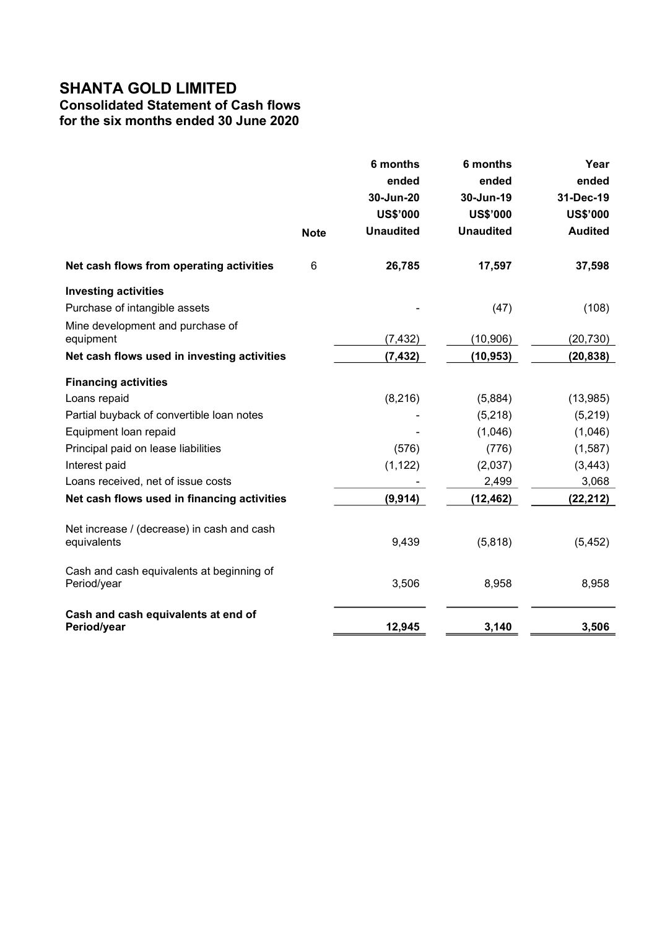# SHANTA GOLD LIMITED

# Consolidated Statement of Cash flows

for the six months ended 30 June 2020

|                                             |             | 6 months         | 6 months         | Year            |
|---------------------------------------------|-------------|------------------|------------------|-----------------|
|                                             |             | ended            | ended            | ended           |
|                                             |             | 30-Jun-20        | 30-Jun-19        | 31-Dec-19       |
|                                             |             | <b>US\$'000</b>  | <b>US\$'000</b>  | <b>US\$'000</b> |
|                                             | <b>Note</b> | <b>Unaudited</b> | <b>Unaudited</b> | <b>Audited</b>  |
| Net cash flows from operating activities    | 6           | 26,785           | 17,597           | 37,598          |
| <b>Investing activities</b>                 |             |                  |                  |                 |
| Purchase of intangible assets               |             |                  | (47)             | (108)           |
| Mine development and purchase of            |             |                  |                  |                 |
| equipment                                   |             | (7, 432)         | (10, 906)        | (20, 730)       |
| Net cash flows used in investing activities |             | (7, 432)         | (10, 953)        | (20, 838)       |
| <b>Financing activities</b>                 |             |                  |                  |                 |
| Loans repaid                                |             | (8, 216)         | (5,884)          | (13,985)        |
| Partial buyback of convertible loan notes   |             |                  | (5, 218)         | (5,219)         |
| Equipment loan repaid                       |             |                  | (1,046)          | (1,046)         |
| Principal paid on lease liabilities         |             | (576)            | (776)            | (1, 587)        |
| Interest paid                               |             | (1, 122)         | (2,037)          | (3, 443)        |
| Loans received, net of issue costs          |             |                  | 2,499            | 3,068           |
| Net cash flows used in financing activities |             | (9, 914)         | (12, 462)        | (22, 212)       |
| Net increase / (decrease) in cash and cash  |             |                  |                  |                 |
| equivalents                                 |             | 9,439            | (5,818)          | (5, 452)        |
| Cash and cash equivalents at beginning of   |             |                  |                  |                 |
| Period/year                                 |             | 3,506            | 8,958            | 8,958           |
| Cash and cash equivalents at end of         |             |                  |                  |                 |
| Period/year                                 |             | 12,945           | 3,140            | 3,506           |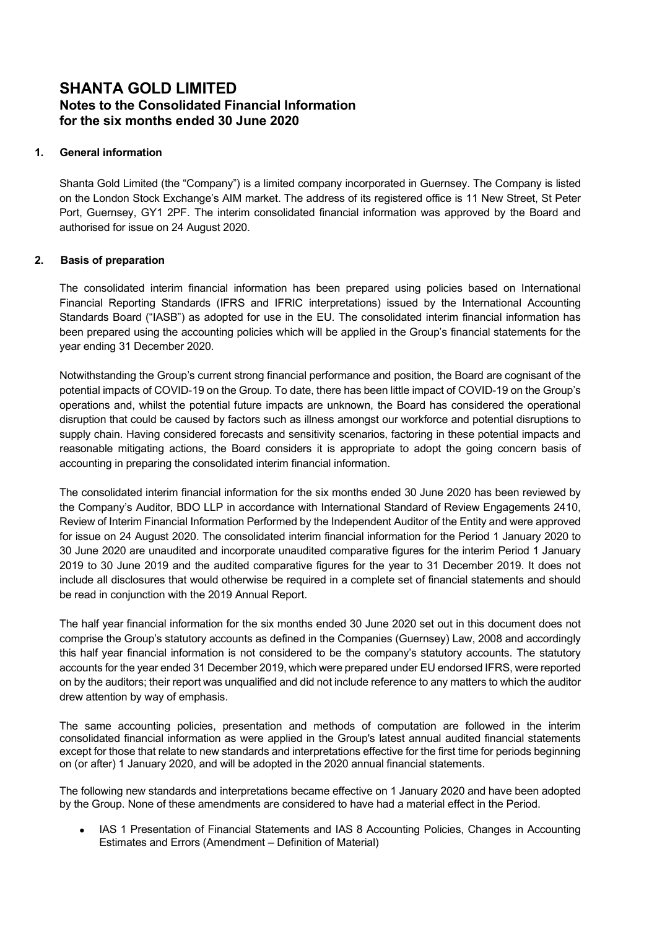# SHANTA GOLD LIMITED Notes to the Consolidated Financial Information for the six months ended 30 June 2020

### 1. General information

Shanta Gold Limited (the "Company") is a limited company incorporated in Guernsey. The Company is listed on the London Stock Exchange's AIM market. The address of its registered office is 11 New Street, St Peter Port, Guernsey, GY1 2PF. The interim consolidated financial information was approved by the Board and authorised for issue on 24 August 2020.

### 2. Basis of preparation

The consolidated interim financial information has been prepared using policies based on International Financial Reporting Standards (IFRS and IFRIC interpretations) issued by the International Accounting Standards Board ("IASB") as adopted for use in the EU. The consolidated interim financial information has been prepared using the accounting policies which will be applied in the Group's financial statements for the year ending 31 December 2020.

Notwithstanding the Group's current strong financial performance and position, the Board are cognisant of the potential impacts of COVID-19 on the Group. To date, there has been little impact of COVID-19 on the Group's operations and, whilst the potential future impacts are unknown, the Board has considered the operational disruption that could be caused by factors such as illness amongst our workforce and potential disruptions to supply chain. Having considered forecasts and sensitivity scenarios, factoring in these potential impacts and reasonable mitigating actions, the Board considers it is appropriate to adopt the going concern basis of accounting in preparing the consolidated interim financial information.

The consolidated interim financial information for the six months ended 30 June 2020 has been reviewed by the Company's Auditor, BDO LLP in accordance with International Standard of Review Engagements 2410, Review of Interim Financial Information Performed by the Independent Auditor of the Entity and were approved for issue on 24 August 2020. The consolidated interim financial information for the Period 1 January 2020 to 30 June 2020 are unaudited and incorporate unaudited comparative figures for the interim Period 1 January 2019 to 30 June 2019 and the audited comparative figures for the year to 31 December 2019. It does not include all disclosures that would otherwise be required in a complete set of financial statements and should be read in conjunction with the 2019 Annual Report.

The half year financial information for the six months ended 30 June 2020 set out in this document does not comprise the Group's statutory accounts as defined in the Companies (Guernsey) Law, 2008 and accordingly this half year financial information is not considered to be the company's statutory accounts. The statutory accounts for the year ended 31 December 2019, which were prepared under EU endorsed IFRS, were reported on by the auditors; their report was unqualified and did not include reference to any matters to which the auditor drew attention by way of emphasis.

The same accounting policies, presentation and methods of computation are followed in the interim consolidated financial information as were applied in the Group's latest annual audited financial statements except for those that relate to new standards and interpretations effective for the first time for periods beginning on (or after) 1 January 2020, and will be adopted in the 2020 annual financial statements.

The following new standards and interpretations became effective on 1 January 2020 and have been adopted by the Group. None of these amendments are considered to have had a material effect in the Period.

 IAS 1 Presentation of Financial Statements and IAS 8 Accounting Policies, Changes in Accounting Estimates and Errors (Amendment – Definition of Material)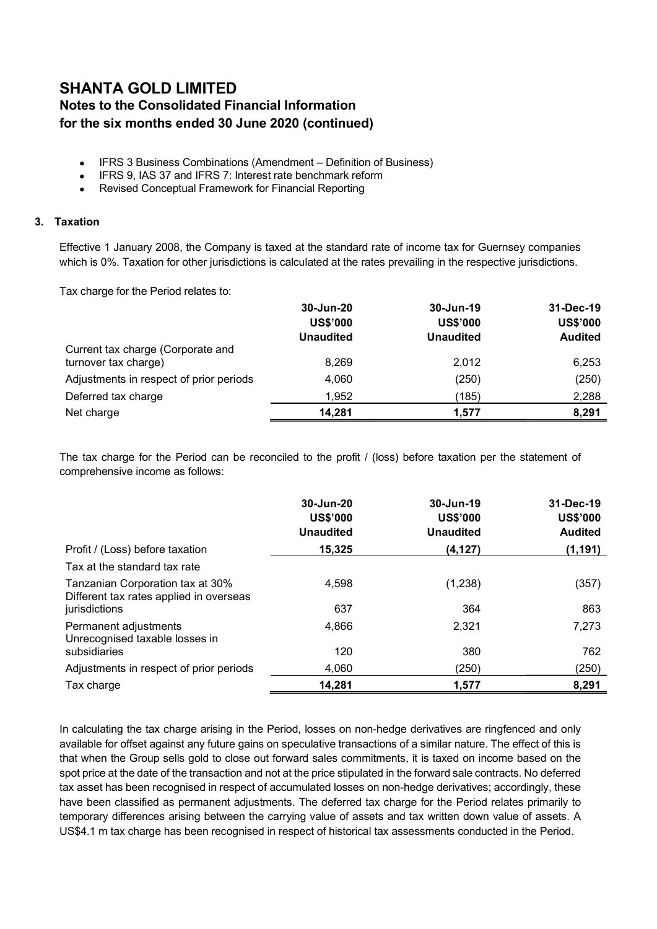# SHANTA GOLD LIMITED Notes to the Consolidated Financial Information for the six months ended 30 June 2020 (continued)

- IFRS 3 Business Combinations (Amendment Definition of Business)
- IFRS 9, IAS 37 and IFRS 7: Interest rate benchmark reform
- Revised Conceptual Framework for Financial Reporting

### 3. Taxation

Effective 1 January 2008, the Company is taxed at the standard rate of income tax for Guernsey companies which is 0%. Taxation for other jurisdictions is calculated at the rates prevailing in the respective jurisdictions.

Tax charge for the Period relates to:

|                                                           | 30-Jun-20<br><b>US\$'000</b><br><b>Unaudited</b> | 30-Jun-19<br><b>US\$'000</b><br><b>Unaudited</b> | 31-Dec-19<br><b>US\$'000</b><br><b>Audited</b> |
|-----------------------------------------------------------|--------------------------------------------------|--------------------------------------------------|------------------------------------------------|
| Current tax charge (Corporate and<br>turnover tax charge) | 8.269                                            | 2.012                                            | 6,253                                          |
| Adjustments in respect of prior periods                   | 4,060                                            | (250)                                            | (250)                                          |
| Deferred tax charge                                       | 1,952                                            | (185)                                            | 2,288                                          |
| Net charge                                                | 14,281                                           | 1.577                                            | 8,291                                          |

The tax charge for the Period can be reconciled to the profit / (loss) before taxation per the statement of comprehensive income as follows:

|                                                                             | 30-Jun-20<br><b>US\$'000</b><br><b>Unaudited</b> | 30-Jun-19<br><b>US\$'000</b><br><b>Unaudited</b> | 31-Dec-19<br><b>US\$'000</b><br><b>Audited</b> |
|-----------------------------------------------------------------------------|--------------------------------------------------|--------------------------------------------------|------------------------------------------------|
| Profit / (Loss) before taxation                                             | 15,325                                           | (4, 127)                                         | (1, 191)                                       |
| Tax at the standard tax rate                                                |                                                  |                                                  |                                                |
| Tanzanian Corporation tax at 30%<br>Different tax rates applied in overseas | 4,598                                            | (1,238)                                          | (357)                                          |
| jurisdictions                                                               | 637                                              | 364                                              | 863                                            |
| Permanent adjustments<br>Unrecognised taxable losses in                     | 4,866                                            | 2,321                                            | 7,273                                          |
| subsidiaries                                                                | 120                                              | 380                                              | 762                                            |
| Adjustments in respect of prior periods                                     | 4,060                                            | (250)                                            | (250)                                          |
| Tax charge                                                                  | 14,281                                           | 1.577                                            | 8.291                                          |

In calculating the tax charge arising in the Period, losses on non-hedge derivatives are ringfenced and only available for offset against any future gains on speculative transactions of a similar nature. The effect of this is that when the Group sells gold to close out forward sales commitments, it is taxed on income based on the spot price at the date of the transaction and not at the price stipulated in the forward sale contracts. No deferred tax asset has been recognised in respect of accumulated losses on non-hedge derivatives; accordingly, these have been classified as permanent adjustments. The deferred tax charge for the Period relates primarily to temporary differences arising between the carrying value of assets and tax written down value of assets. A US\$4.1 m tax charge has been recognised in respect of historical tax assessments conducted in the Period.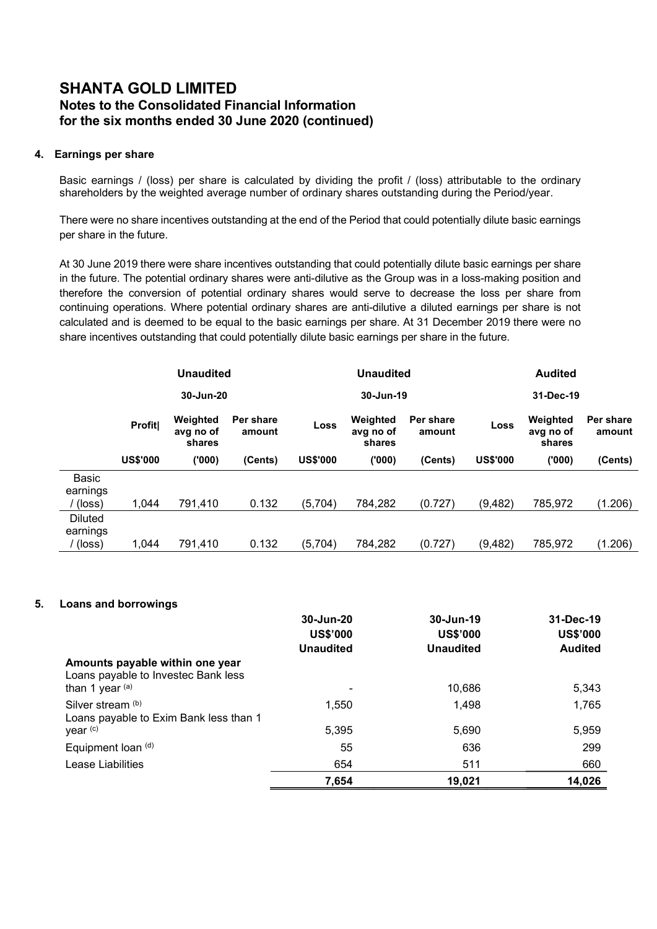# SHANTA GOLD LIMITED Notes to the Consolidated Financial Information for the six months ended 30 June 2020 (continued)

### 4. Earnings per share

Basic earnings / (loss) per share is calculated by dividing the profit / (loss) attributable to the ordinary shareholders by the weighted average number of ordinary shares outstanding during the Period/year.

There were no share incentives outstanding at the end of the Period that could potentially dilute basic earnings per share in the future.

At 30 June 2019 there were share incentives outstanding that could potentially dilute basic earnings per share in the future. The potential ordinary shares were anti-dilutive as the Group was in a loss-making position and therefore the conversion of potential ordinary shares would serve to decrease the loss per share from continuing operations. Where potential ordinary shares are anti-dilutive a diluted earnings per share is not calculated and is deemed to be equal to the basic earnings per share. At 31 December 2019 there were no share incentives outstanding that could potentially dilute basic earnings per share in the future.

|                                      | <b>Unaudited</b> |                                 |                     |                 | <b>Unaudited</b>                |                     |                 | <b>Audited</b>                  |                     |  |
|--------------------------------------|------------------|---------------------------------|---------------------|-----------------|---------------------------------|---------------------|-----------------|---------------------------------|---------------------|--|
|                                      |                  | 30-Jun-20                       |                     |                 | 30-Jun-19                       | 31-Dec-19           |                 |                                 |                     |  |
|                                      | <b>Profit</b>    | Weighted<br>avg no of<br>shares | Per share<br>amount | <b>Loss</b>     | Weighted<br>avg no of<br>shares | Per share<br>amount | Loss            | Weighted<br>avg no of<br>shares | Per share<br>amount |  |
|                                      | <b>US\$'000</b>  | (000)                           | (Cents)             | <b>US\$'000</b> | (000)                           | (Cents)             | <b>US\$'000</b> | (000)                           | (Cents)             |  |
| <b>Basic</b><br>earnings<br>(loss)   | 1.044            | 791.410                         | 0.132               | (5,704)         | 784,282                         | (0.727)             | (9, 482)        | 785,972                         | (1.206)             |  |
| <b>Diluted</b><br>earnings<br>(loss) | 1.044            | 791.410                         | 0.132               | (5,704)         | 784,282                         | (0.727)             | (9, 482)        | 785,972                         | (1.206)             |  |

### 5. Loans and borrowings

|                                                                        | 30-Jun-20        | 30-Jun-19        | 31-Dec-19       |
|------------------------------------------------------------------------|------------------|------------------|-----------------|
|                                                                        | <b>US\$'000</b>  | <b>US\$'000</b>  | <b>US\$'000</b> |
|                                                                        | <b>Unaudited</b> | <b>Unaudited</b> | <b>Audited</b>  |
| Amounts payable within one year<br>Loans payable to Investec Bank less |                  |                  |                 |
| than 1 year $(a)$                                                      |                  | 10.686           | 5,343           |
| Silver stream (b)<br>Loans payable to Exim Bank less than 1            | 1,550            | 1.498            | 1,765           |
| year (c)                                                               | 5,395            | 5,690            | 5,959           |
| Equipment loan (d)                                                     | 55               | 636              | 299             |
| Lease Liabilities                                                      | 654              | 511              | 660             |
|                                                                        | 7.654            | 19.021           | 14,026          |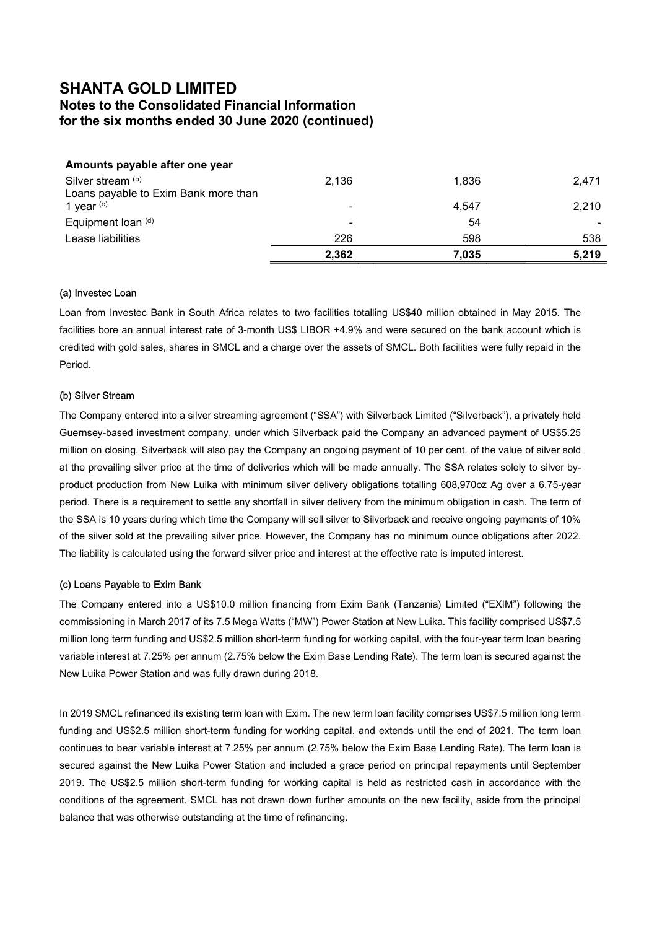# SHANTA GOLD LIMITED Notes to the Consolidated Financial Information for the six months ended 30 June 2020 (continued)

| Amounts payable after one year       |                          |       |       |
|--------------------------------------|--------------------------|-------|-------|
| Silver stream (b)                    | 2,136                    | 1,836 | 2,471 |
| Loans payable to Exim Bank more than |                          |       |       |
| 1 year $(c)$                         | ۰                        | 4,547 | 2,210 |
| Equipment loan (d)                   | $\overline{\phantom{0}}$ | 54    |       |
| Lease liabilities                    | 226                      | 598   | 538   |
|                                      | 2,362                    | 7,035 | 5,219 |

#### (a) Investec Loan

Loan from Investec Bank in South Africa relates to two facilities totalling US\$40 million obtained in May 2015. The facilities bore an annual interest rate of 3-month US\$ LIBOR +4.9% and were secured on the bank account which is credited with gold sales, shares in SMCL and a charge over the assets of SMCL. Both facilities were fully repaid in the Period.

#### (b) Silver Stream

The Company entered into a silver streaming agreement ("SSA") with Silverback Limited ("Silverback"), a privately held Guernsey-based investment company, under which Silverback paid the Company an advanced payment of US\$5.25 million on closing. Silverback will also pay the Company an ongoing payment of 10 per cent. of the value of silver sold at the prevailing silver price at the time of deliveries which will be made annually. The SSA relates solely to silver byproduct production from New Luika with minimum silver delivery obligations totalling 608,970oz Ag over a 6.75-year period. There is a requirement to settle any shortfall in silver delivery from the minimum obligation in cash. The term of the SSA is 10 years during which time the Company will sell silver to Silverback and receive ongoing payments of 10% of the silver sold at the prevailing silver price. However, the Company has no minimum ounce obligations after 2022. The liability is calculated using the forward silver price and interest at the effective rate is imputed interest.

#### (c) Loans Payable to Exim Bank

The Company entered into a US\$10.0 million financing from Exim Bank (Tanzania) Limited ("EXIM") following the commissioning in March 2017 of its 7.5 Mega Watts ("MW") Power Station at New Luika. This facility comprised US\$7.5 million long term funding and US\$2.5 million short-term funding for working capital, with the four-year term loan bearing variable interest at 7.25% per annum (2.75% below the Exim Base Lending Rate). The term loan is secured against the New Luika Power Station and was fully drawn during 2018.

In 2019 SMCL refinanced its existing term loan with Exim. The new term loan facility comprises US\$7.5 million long term funding and US\$2.5 million short-term funding for working capital, and extends until the end of 2021. The term loan continues to bear variable interest at 7.25% per annum (2.75% below the Exim Base Lending Rate). The term loan is secured against the New Luika Power Station and included a grace period on principal repayments until September 2019. The US\$2.5 million short-term funding for working capital is held as restricted cash in accordance with the conditions of the agreement. SMCL has not drawn down further amounts on the new facility, aside from the principal balance that was otherwise outstanding at the time of refinancing.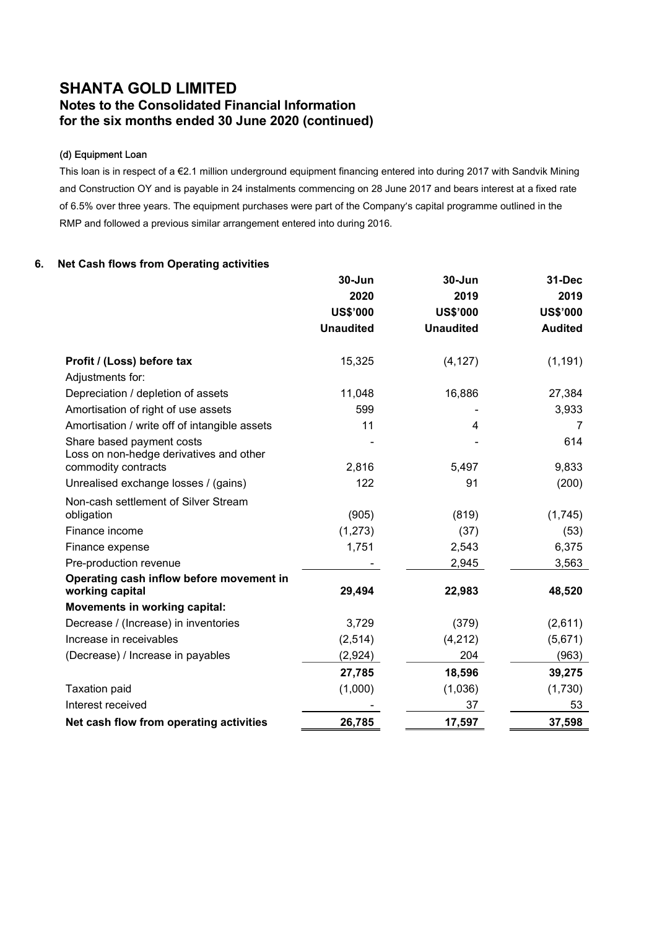# SHANTA GOLD LIMITED Notes to the Consolidated Financial Information for the six months ended 30 June 2020 (continued)

### (d) Equipment Loan

This loan is in respect of a €2.1 million underground equipment financing entered into during 2017 with Sandvik Mining and Construction OY and is payable in 24 instalments commencing on 28 June 2017 and bears interest at a fixed rate of 6.5% over three years. The equipment purchases were part of the Company's capital programme outlined in the RMP and followed a previous similar arrangement entered into during 2016.

### 6. Net Cash flows from Operating activities

|                                                                      | $30 - Jun$       | $30 - Jun$       | 31-Dec          |
|----------------------------------------------------------------------|------------------|------------------|-----------------|
|                                                                      | 2020             | 2019             | 2019            |
|                                                                      | <b>US\$'000</b>  | <b>US\$'000</b>  | <b>US\$'000</b> |
|                                                                      | <b>Unaudited</b> | <b>Unaudited</b> | <b>Audited</b>  |
| Profit / (Loss) before tax                                           | 15,325           | (4, 127)         | (1, 191)        |
| Adjustments for:                                                     |                  |                  |                 |
| Depreciation / depletion of assets                                   | 11,048           | 16,886           | 27,384          |
| Amortisation of right of use assets                                  | 599              |                  | 3,933           |
| Amortisation / write off of intangible assets                        | 11               | 4                | 7               |
| Share based payment costs<br>Loss on non-hedge derivatives and other |                  |                  | 614             |
| commodity contracts                                                  | 2,816            | 5,497            | 9,833           |
| Unrealised exchange losses / (gains)                                 | 122              | 91               | (200)           |
| Non-cash settlement of Silver Stream                                 |                  |                  |                 |
| obligation                                                           | (905)            | (819)            | (1,745)         |
| Finance income                                                       | (1,273)          | (37)             | (53)            |
| Finance expense                                                      | 1,751            | 2,543            | 6,375           |
| Pre-production revenue                                               |                  | 2,945            | 3,563           |
| Operating cash inflow before movement in<br>working capital          | 29,494           | 22,983           | 48,520          |
| Movements in working capital:                                        |                  |                  |                 |
| Decrease / (Increase) in inventories                                 | 3,729            | (379)            | (2,611)         |
| Increase in receivables                                              | (2,514)          | (4, 212)         | (5,671)         |
| (Decrease) / Increase in payables                                    | (2,924)          | 204              | (963)           |
|                                                                      | 27,785           | 18,596           | 39,275          |
| <b>Taxation paid</b>                                                 | (1,000)          | (1,036)          | (1,730)         |
| Interest received                                                    |                  | 37               | 53              |
| Net cash flow from operating activities                              | 26,785           | 17,597           | 37,598          |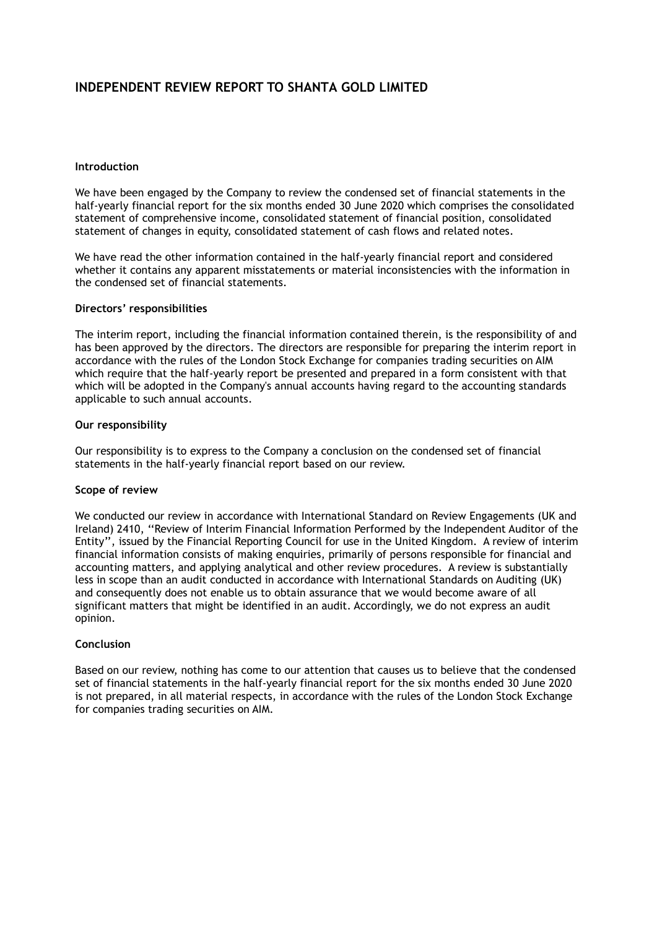# INDEPENDENT REVIEW REPORT TO SHANTA GOLD LIMITED

### Introduction

We have been engaged by the Company to review the condensed set of financial statements in the half-yearly financial report for the six months ended 30 June 2020 which comprises the consolidated statement of comprehensive income, consolidated statement of financial position, consolidated statement of changes in equity, consolidated statement of cash flows and related notes.

We have read the other information contained in the half-yearly financial report and considered whether it contains any apparent misstatements or material inconsistencies with the information in the condensed set of financial statements.

### Directors' responsibilities

The interim report, including the financial information contained therein, is the responsibility of and has been approved by the directors. The directors are responsible for preparing the interim report in accordance with the rules of the London Stock Exchange for companies trading securities on AIM which require that the half-yearly report be presented and prepared in a form consistent with that which will be adopted in the Company's annual accounts having regard to the accounting standards applicable to such annual accounts.

### Our responsibility

Our responsibility is to express to the Company a conclusion on the condensed set of financial statements in the half-yearly financial report based on our review.

### Scope of review

We conducted our review in accordance with International Standard on Review Engagements (UK and Ireland) 2410, ''Review of Interim Financial Information Performed by the Independent Auditor of the Entity'', issued by the Financial Reporting Council for use in the United Kingdom. A review of interim financial information consists of making enquiries, primarily of persons responsible for financial and accounting matters, and applying analytical and other review procedures. A review is substantially less in scope than an audit conducted in accordance with International Standards on Auditing (UK) and consequently does not enable us to obtain assurance that we would become aware of all significant matters that might be identified in an audit. Accordingly, we do not express an audit opinion.

### Conclusion

Based on our review, nothing has come to our attention that causes us to believe that the condensed set of financial statements in the half-yearly financial report for the six months ended 30 June 2020 is not prepared, in all material respects, in accordance with the rules of the London Stock Exchange for companies trading securities on AIM.